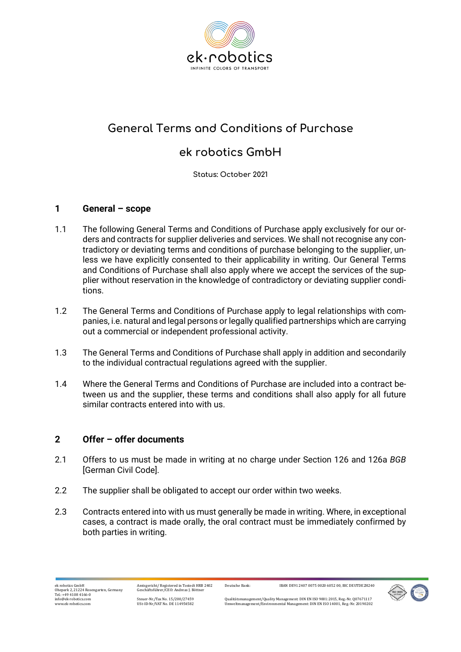

# **General Terms and Conditions of Purchase**

## **ek robotics GmbH**

**Status: October 2021**

## **1 General – scope**

- 1.1 The following General Terms and Conditions of Purchase apply exclusively for our orders and contracts for supplier deliveries and services. We shall not recognise any contradictory or deviating terms and conditions of purchase belonging to the supplier, unless we have explicitly consented to their applicability in writing. Our General Terms and Conditions of Purchase shall also apply where we accept the services of the supplier without reservation in the knowledge of contradictory or deviating supplier conditions.
- 1.2 The General Terms and Conditions of Purchase apply to legal relationships with companies, i.e. natural and legal persons or legally qualified partnerships which are carrying out a commercial or independent professional activity.
- 1.3 The General Terms and Conditions of Purchase shall apply in addition and secondarily to the individual contractual regulations agreed with the supplier.
- 1.4 Where the General Terms and Conditions of Purchase are included into a contract between us and the supplier, these terms and conditions shall also apply for all future similar contracts entered into with us.

## **2 Offer – offer documents**

- 2.1 Offers to us must be made in writing at no charge under Section 126 and 126a *BGB* [German Civil Code].
- 2.2 The supplier shall be obligated to accept our order within two weeks.
- 2.3 Contracts entered into with us must generally be made in writing. Where, in exceptional cases, a contract is made orally, the oral contract must be immediately confirmed by both parties in writing.

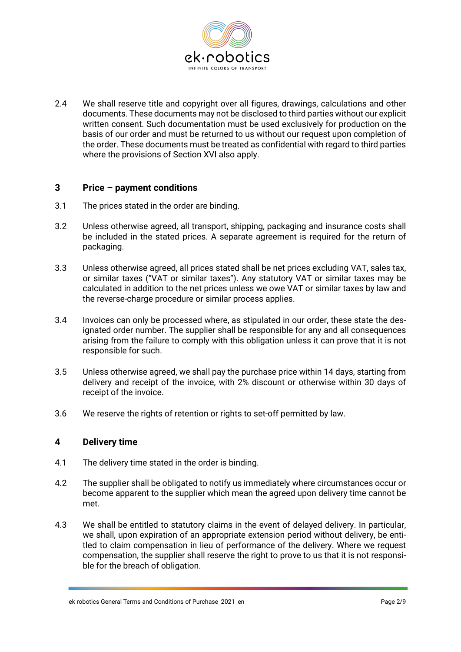

2.4 We shall reserve title and copyright over all figures, drawings, calculations and other documents. These documents may not be disclosed to third parties without our explicit written consent. Such documentation must be used exclusively for production on the basis of our order and must be returned to us without our request upon completion of the order. These documents must be treated as confidential with regard to third parties where the provisions of Section XVI also apply.

## **3 Price – payment conditions**

- 3.1 The prices stated in the order are binding.
- 3.2 Unless otherwise agreed, all transport, shipping, packaging and insurance costs shall be included in the stated prices. A separate agreement is required for the return of packaging.
- 3.3 Unless otherwise agreed, all prices stated shall be net prices excluding VAT, sales tax, or similar taxes ("VAT or similar taxes"). Any statutory VAT or similar taxes may be calculated in addition to the net prices unless we owe VAT or similar taxes by law and the reverse-charge procedure or similar process applies.
- 3.4 Invoices can only be processed where, as stipulated in our order, these state the designated order number. The supplier shall be responsible for any and all consequences arising from the failure to comply with this obligation unless it can prove that it is not responsible for such.
- 3.5 Unless otherwise agreed, we shall pay the purchase price within 14 days, starting from delivery and receipt of the invoice, with 2% discount or otherwise within 30 days of receipt of the invoice.
- 3.6 We reserve the rights of retention or rights to set-off permitted by law.

#### **4 Delivery time**

- 4.1 The delivery time stated in the order is binding.
- 4.2 The supplier shall be obligated to notify us immediately where circumstances occur or become apparent to the supplier which mean the agreed upon delivery time cannot be met.
- 4.3 We shall be entitled to statutory claims in the event of delayed delivery. In particular, we shall, upon expiration of an appropriate extension period without delivery, be entitled to claim compensation in lieu of performance of the delivery. Where we request compensation, the supplier shall reserve the right to prove to us that it is not responsible for the breach of obligation.

ek robotics General Terms and Conditions of Purchase 2021 en Page 2091 and Page 2/9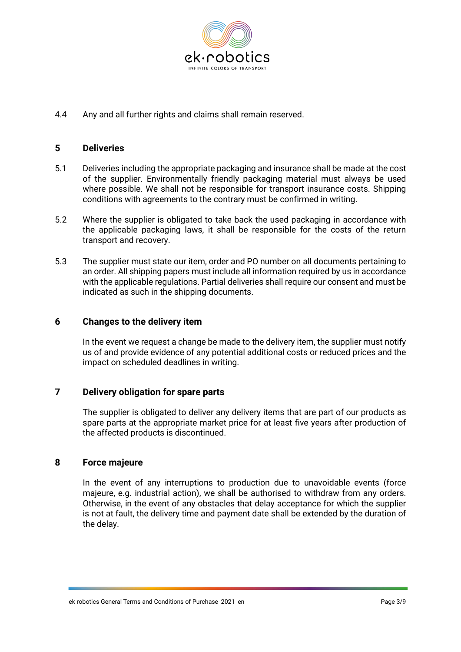

4.4 Any and all further rights and claims shall remain reserved.

#### **5 Deliveries**

- 5.1 Deliveries including the appropriate packaging and insurance shall be made at the cost of the supplier. Environmentally friendly packaging material must always be used where possible. We shall not be responsible for transport insurance costs. Shipping conditions with agreements to the contrary must be confirmed in writing.
- 5.2 Where the supplier is obligated to take back the used packaging in accordance with the applicable packaging laws, it shall be responsible for the costs of the return transport and recovery.
- 5.3 The supplier must state our item, order and PO number on all documents pertaining to an order. All shipping papers must include all information required by us in accordance with the applicable regulations. Partial deliveries shall require our consent and must be indicated as such in the shipping documents.

#### **6 Changes to the delivery item**

In the event we request a change be made to the delivery item, the supplier must notify us of and provide evidence of any potential additional costs or reduced prices and the impact on scheduled deadlines in writing.

## **7 Delivery obligation for spare parts**

The supplier is obligated to deliver any delivery items that are part of our products as spare parts at the appropriate market price for at least five years after production of the affected products is discontinued.

#### **8 Force majeure**

In the event of any interruptions to production due to unavoidable events (force majeure, e.g. industrial action), we shall be authorised to withdraw from any orders. Otherwise, in the event of any obstacles that delay acceptance for which the supplier is not at fault, the delivery time and payment date shall be extended by the duration of the delay.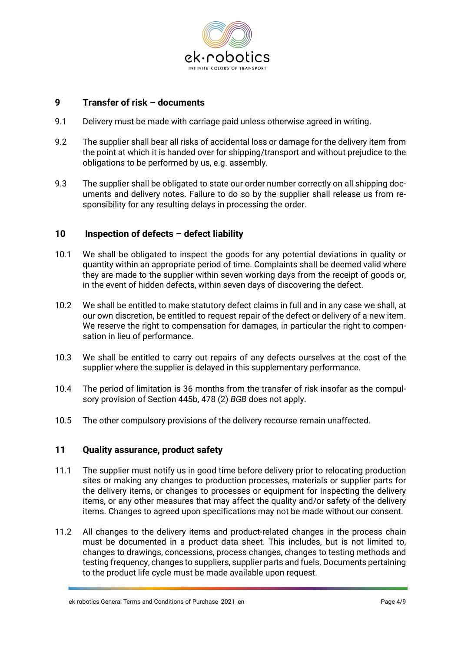

## **9 Transfer of risk – documents**

- 9.1 Delivery must be made with carriage paid unless otherwise agreed in writing.
- 9.2 The supplier shall bear all risks of accidental loss or damage for the delivery item from the point at which it is handed over for shipping/transport and without prejudice to the obligations to be performed by us, e.g. assembly.
- 9.3 The supplier shall be obligated to state our order number correctly on all shipping documents and delivery notes. Failure to do so by the supplier shall release us from responsibility for any resulting delays in processing the order.

### **10 Inspection of defects – defect liability**

- 10.1 We shall be obligated to inspect the goods for any potential deviations in quality or quantity within an appropriate period of time. Complaints shall be deemed valid where they are made to the supplier within seven working days from the receipt of goods or, in the event of hidden defects, within seven days of discovering the defect.
- 10.2 We shall be entitled to make statutory defect claims in full and in any case we shall, at our own discretion, be entitled to request repair of the defect or delivery of a new item. We reserve the right to compensation for damages, in particular the right to compensation in lieu of performance.
- 10.3 We shall be entitled to carry out repairs of any defects ourselves at the cost of the supplier where the supplier is delayed in this supplementary performance.
- 10.4 The period of limitation is 36 months from the transfer of risk insofar as the compulsory provision of Section 445b, 478 (2) *BGB* does not apply.
- 10.5 The other compulsory provisions of the delivery recourse remain unaffected.

#### **11 Quality assurance, product safety**

- 11.1 The supplier must notify us in good time before delivery prior to relocating production sites or making any changes to production processes, materials or supplier parts for the delivery items, or changes to processes or equipment for inspecting the delivery items, or any other measures that may affect the quality and/or safety of the delivery items. Changes to agreed upon specifications may not be made without our consent.
- 11.2 All changes to the delivery items and product-related changes in the process chain must be documented in a product data sheet. This includes, but is not limited to, changes to drawings, concessions, process changes, changes to testing methods and testing frequency, changes to suppliers, supplier parts and fuels. Documents pertaining to the product life cycle must be made available upon request.

ek robotics General Terms and Conditions of Purchase 2021 en Page 4/9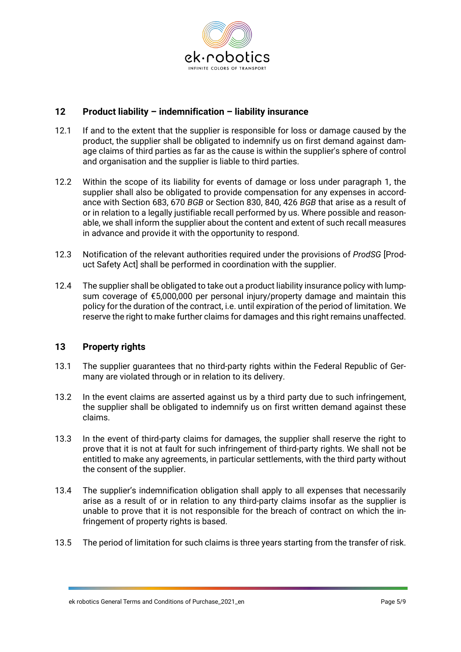

## **12 Product liability – indemnification – liability insurance**

- 12.1 If and to the extent that the supplier is responsible for loss or damage caused by the product, the supplier shall be obligated to indemnify us on first demand against damage claims of third parties as far as the cause is within the supplier's sphere of control and organisation and the supplier is liable to third parties.
- 12.2 Within the scope of its liability for events of damage or loss under paragraph 1, the supplier shall also be obligated to provide compensation for any expenses in accordance with Section 683, 670 *BGB* or Section 830, 840, 426 *BGB* that arise as a result of or in relation to a legally justifiable recall performed by us. Where possible and reasonable, we shall inform the supplier about the content and extent of such recall measures in advance and provide it with the opportunity to respond.
- 12.3 Notification of the relevant authorities required under the provisions of *ProdSG* [Product Safety Act] shall be performed in coordination with the supplier.
- 12.4 The supplier shall be obligated to take out a product liability insurance policy with lumpsum coverage of €5,000,000 per personal injury/property damage and maintain this policy for the duration of the contract, i.e. until expiration of the period of limitation. We reserve the right to make further claims for damages and this right remains unaffected.

## **13 Property rights**

- 13.1 The supplier guarantees that no third-party rights within the Federal Republic of Germany are violated through or in relation to its delivery.
- 13.2 In the event claims are asserted against us by a third party due to such infringement, the supplier shall be obligated to indemnify us on first written demand against these claims.
- 13.3 In the event of third-party claims for damages, the supplier shall reserve the right to prove that it is not at fault for such infringement of third-party rights. We shall not be entitled to make any agreements, in particular settlements, with the third party without the consent of the supplier.
- 13.4 The supplier's indemnification obligation shall apply to all expenses that necessarily arise as a result of or in relation to any third-party claims insofar as the supplier is unable to prove that it is not responsible for the breach of contract on which the infringement of property rights is based.
- 13.5 The period of limitation for such claims is three years starting from the transfer of risk.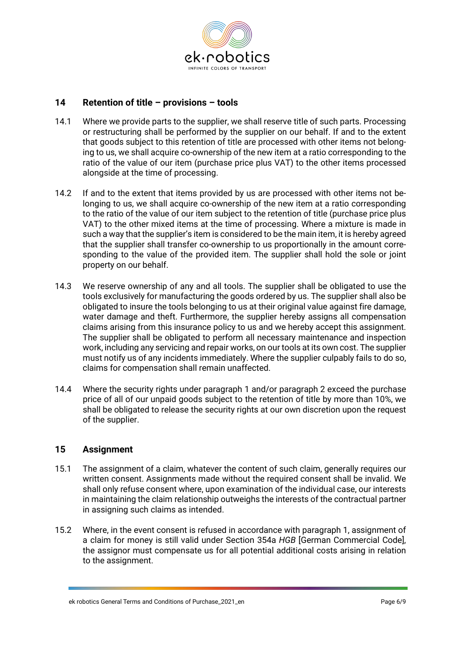

## **14 Retention of title – provisions – tools**

- 14.1 Where we provide parts to the supplier, we shall reserve title of such parts. Processing or restructuring shall be performed by the supplier on our behalf. If and to the extent that goods subject to this retention of title are processed with other items not belonging to us, we shall acquire co-ownership of the new item at a ratio corresponding to the ratio of the value of our item (purchase price plus VAT) to the other items processed alongside at the time of processing.
- 14.2 If and to the extent that items provided by us are processed with other items not belonging to us, we shall acquire co-ownership of the new item at a ratio corresponding to the ratio of the value of our item subject to the retention of title (purchase price plus VAT) to the other mixed items at the time of processing. Where a mixture is made in such a way that the supplier's item is considered to be the main item, it is hereby agreed that the supplier shall transfer co-ownership to us proportionally in the amount corresponding to the value of the provided item. The supplier shall hold the sole or joint property on our behalf.
- 14.3 We reserve ownership of any and all tools. The supplier shall be obligated to use the tools exclusively for manufacturing the goods ordered by us. The supplier shall also be obligated to insure the tools belonging to us at their original value against fire damage, water damage and theft. Furthermore, the supplier hereby assigns all compensation claims arising from this insurance policy to us and we hereby accept this assignment. The supplier shall be obligated to perform all necessary maintenance and inspection work, including any servicing and repair works, on our tools at its own cost. The supplier must notify us of any incidents immediately. Where the supplier culpably fails to do so, claims for compensation shall remain unaffected.
- 14.4 Where the security rights under paragraph 1 and/or paragraph 2 exceed the purchase price of all of our unpaid goods subject to the retention of title by more than 10%, we shall be obligated to release the security rights at our own discretion upon the request of the supplier.

## **15 Assignment**

- 15.1 The assignment of a claim, whatever the content of such claim, generally requires our written consent. Assignments made without the required consent shall be invalid. We shall only refuse consent where, upon examination of the individual case, our interests in maintaining the claim relationship outweighs the interests of the contractual partner in assigning such claims as intended.
- 15.2 Where, in the event consent is refused in accordance with paragraph 1, assignment of a claim for money is still valid under Section 354a *HGB* [German Commercial Code], the assignor must compensate us for all potential additional costs arising in relation to the assignment.

ek robotics General Terms and Conditions of Purchase 2021 en Page 6/9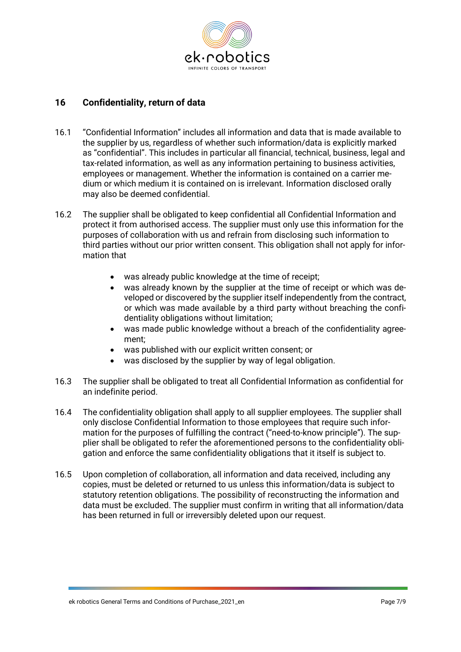

## **16 Confidentiality, return of data**

- 16.1 "Confidential Information" includes all information and data that is made available to the supplier by us, regardless of whether such information/data is explicitly marked as "confidential". This includes in particular all financial, technical, business, legal and tax-related information, as well as any information pertaining to business activities, employees or management. Whether the information is contained on a carrier medium or which medium it is contained on is irrelevant. Information disclosed orally may also be deemed confidential.
- 16.2 The supplier shall be obligated to keep confidential all Confidential Information and protect it from authorised access. The supplier must only use this information for the purposes of collaboration with us and refrain from disclosing such information to third parties without our prior written consent. This obligation shall not apply for information that
	- was already public knowledge at the time of receipt;
	- was already known by the supplier at the time of receipt or which was developed or discovered by the supplier itself independently from the contract, or which was made available by a third party without breaching the confidentiality obligations without limitation;
	- was made public knowledge without a breach of the confidentiality agreement;
	- was published with our explicit written consent; or
	- was disclosed by the supplier by way of legal obligation.
- 16.3 The supplier shall be obligated to treat all Confidential Information as confidential for an indefinite period.
- 16.4 The confidentiality obligation shall apply to all supplier employees. The supplier shall only disclose Confidential Information to those employees that require such information for the purposes of fulfilling the contract ("need-to-know principle"). The supplier shall be obligated to refer the aforementioned persons to the confidentiality obligation and enforce the same confidentiality obligations that it itself is subject to.
- 16.5 Upon completion of collaboration, all information and data received, including any copies, must be deleted or returned to us unless this information/data is subject to statutory retention obligations. The possibility of reconstructing the information and data must be excluded. The supplier must confirm in writing that all information/data has been returned in full or irreversibly deleted upon our request.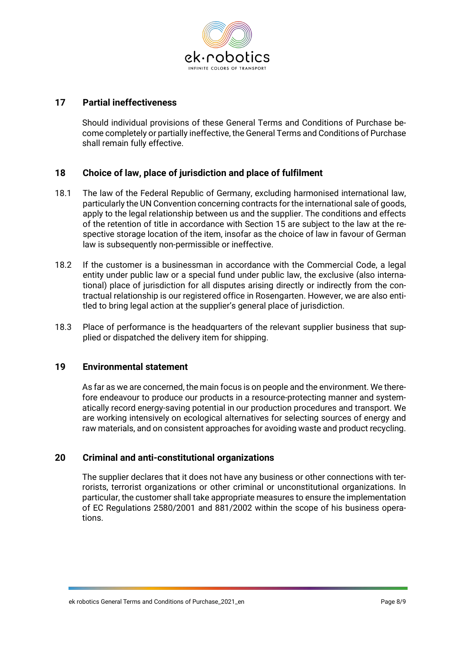

## **17 Partial ineffectiveness**

Should individual provisions of these General Terms and Conditions of Purchase become completely or partially ineffective, the General Terms and Conditions of Purchase shall remain fully effective.

## **18 Choice of law, place of jurisdiction and place of fulfilment**

- 18.1 The law of the Federal Republic of Germany, excluding harmonised international law, particularly the UN Convention concerning contracts for the international sale of goods, apply to the legal relationship between us and the supplier. The conditions and effects of the retention of title in accordance with Section 15 are subject to the law at the respective storage location of the item, insofar as the choice of law in favour of German law is subsequently non-permissible or ineffective.
- 18.2 If the customer is a businessman in accordance with the Commercial Code, a legal entity under public law or a special fund under public law, the exclusive (also international) place of jurisdiction for all disputes arising directly or indirectly from the contractual relationship is our registered office in Rosengarten. However, we are also entitled to bring legal action at the supplier's general place of jurisdiction.
- 18.3 Place of performance is the headquarters of the relevant supplier business that supplied or dispatched the delivery item for shipping.

#### **19 Environmental statement**

As far as we are concerned, the main focus is on people and the environment. We therefore endeavour to produce our products in a resource-protecting manner and systematically record energy-saving potential in our production procedures and transport. We are working intensively on ecological alternatives for selecting sources of energy and raw materials, and on consistent approaches for avoiding waste and product recycling.

#### **20 Criminal and anti-constitutional organizations**

The supplier declares that it does not have any business or other connections with terrorists, terrorist organizations or other criminal or unconstitutional organizations. In particular, the customer shall take appropriate measures to ensure the implementation of EC Regulations 2580/2001 and 881/2002 within the scope of his business operations.